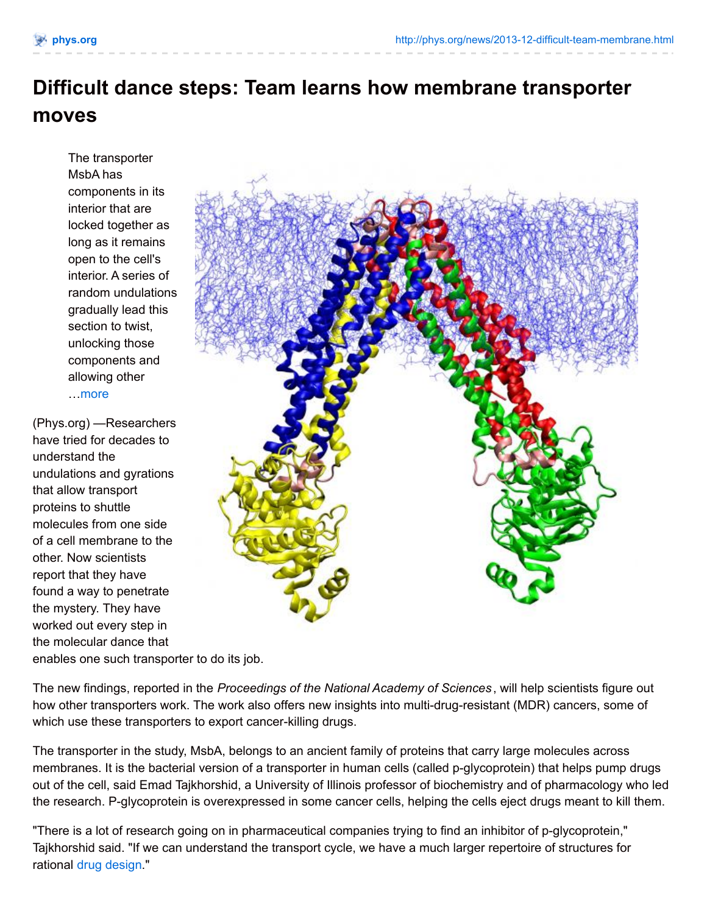## **Difficult dance steps: Team learns how membrane transporter moves**

The transporter MsbA has components in its interior that are locked together as long as it remains open to the cell's interior. A series of random undulations gradually lead this section to twist, unlocking those components and allowing other …[more](http://phys.org/news/2013-12-difficult-team-membrane.html)

(Phys.org) —Researchers have tried for decades to understand the undulations and gyrations that allow transport proteins to shuttle molecules from one side of a cell membrane to the other. Now scientists report that they have found a way to penetrate the mystery. They have worked out every step in the molecular dance that enables one such transporter to do its job.



The new findings, reported in the *Proceedings of the National Academy of Sciences* , will help scientists figure out how other transporters work. The work also offers new insights into multi-drug-resistant (MDR) cancers, some of which use these transporters to export cancer-killing drugs.

The transporter in the study, MsbA, belongs to an ancient family of proteins that carry large molecules across membranes. It is the bacterial version of a transporter in human cells (called p-glycoprotein) that helps pump drugs out of the cell, said Emad Tajkhorshid, a University of Illinois professor of biochemistry and of pharmacology who led the research. P-glycoprotein is overexpressed in some cancer cells, helping the cells eject drugs meant to kill them.

"There is a lot of research going on in pharmaceutical companies trying to find an inhibitor of p-glycoprotein," Tajkhorshid said. "If we can understand the transport cycle, we have a much larger repertoire of structures for rational drug [design](http://phys.org/tags/drug+design/)."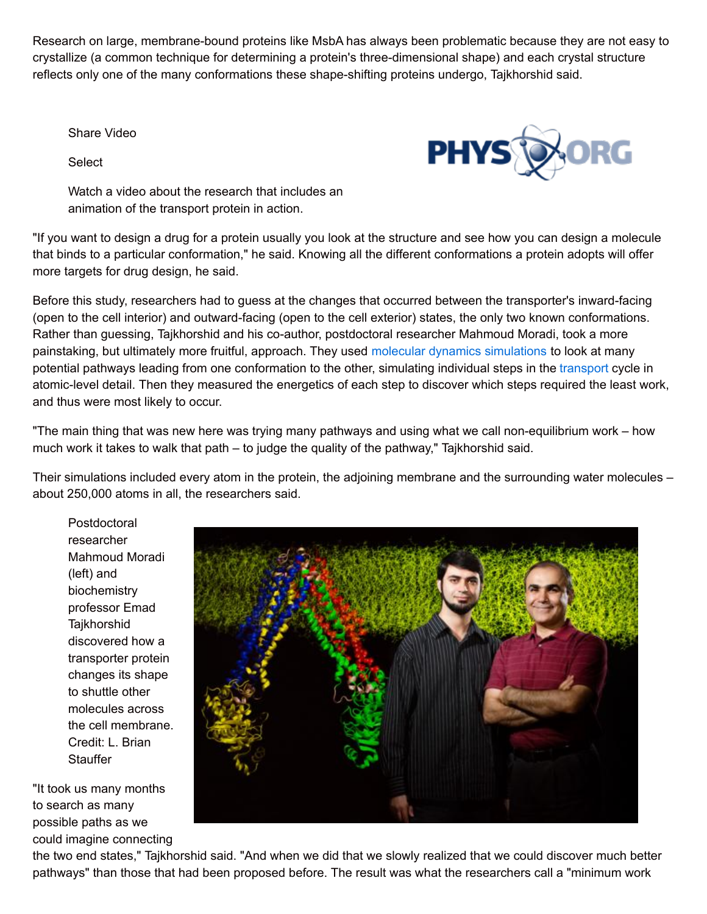Research on large, membrane-bound proteins like MsbA has always been problematic because they are not easy to crystallize (a common technique for determining a protein's three-dimensional shape) and each crystal structure reflects only one of the many conformations these shape-shifting proteins undergo, Tajkhorshid said.

Share Video

**Select** 



Watch a video about the research that includes an animation of the transport protein in action.

"If you want to design a drug for a protein usually you look at the structure and see how you can design a molecule that binds to a particular conformation," he said. Knowing all the different conformations a protein adopts will offer more targets for drug design, he said.

Before this study, researchers had to guess at the changes that occurred between the transporter's inward-facing (open to the cell interior) and outward-facing (open to the cell exterior) states, the only two known conformations. Rather than guessing, Tajkhorshid and his co-author, postdoctoral researcher Mahmoud Moradi, took a more painstaking, but ultimately more fruitful, approach. They used molecular dynamics [simulations](http://phys.org/tags/molecular+dynamics+simulations/) to look at many potential pathways leading from one conformation to the other, simulating individual steps in the [transport](http://phys.org/tags/transport/) cycle in atomic-level detail. Then they measured the energetics of each step to discover which steps required the least work, and thus were most likely to occur.

"The main thing that was new here was trying many pathways and using what we call non-equilibrium work – how much work it takes to walk that path – to judge the quality of the pathway," Tajkhorshid said.

Their simulations included every atom in the protein, the adjoining membrane and the surrounding water molecules – about 250,000 atoms in all, the researchers said.

**Postdoctoral** researcher Mahmoud Moradi (left) and biochemistry professor Emad **Taikhorshid** discovered how a transporter protein changes its shape to shuttle other molecules across the cell membrane. Credit: L. Brian **Stauffer** 

"It took us many months to search as many possible paths as we could imagine connecting



the two end states," Tajkhorshid said. "And when we did that we slowly realized that we could discover much better pathways" than those that had been proposed before. The result was what the researchers call a "minimum work